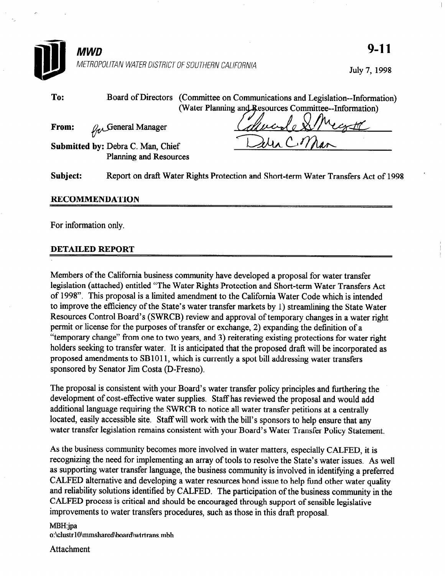

| To:                   |                                                                                    | Board of Directors (Committee on Communications and Legislation--Information) |
|-----------------------|------------------------------------------------------------------------------------|-------------------------------------------------------------------------------|
|                       |                                                                                    | (Water Planning and Resources Committee--Information)                         |
| From:                 | $\mathcal{G}_{\alpha}$ General Manager                                             |                                                                               |
|                       | Submitted by: Debra C. Man, Chief<br>Planning and Resources                        |                                                                               |
| Subject:              | Report on draft Water Rights Protection and Short-term Water Transfers Act of 1998 |                                                                               |
| <b>RECOMMENDATION</b> |                                                                                    |                                                                               |

For information only.

#### DETAILED REPORT

Members of the California business community have developed a proposal for water transfer legislation (attached) entitled "The Water Rights Protection and Short-term Water Transfers Act of 1998". This proposal is a limited amendment to the California Water Code which is intended to improve the efficiency of the State's water transfer markets by 1) streamlining the State Water Resources Control Board's (SWRCB) review and approval of temporary changes in a water right permit or license for the purposes of transfer or exchange, 2) expanding the definition of a "temporary change" from one to two years, and 3) reiterating existing protections for water right holders seeking to transfer water. It is anticipated that the proposed draft will be incorporated as proposed amendments to SB 1011, which is currently a spot bill addressing water transfers sponsored by Senator Jim Costa (D-Fresno).

The proposal is consistent with your Board's water transfer policy principles and furthering the development of cost-effective water supplies. Staff has reviewed the proposal and would add additional language requiring the SWRCB to notice all water transfer petitions at a centrally located, easily accessible site. Staff will work with the bill's sponsors to help ensure that any water transfer legislation remains consistent with your Board's Water Transfer Policy Statement.

As the business community becomes more involved in water matters, especially CALFED, it is recognizing the need for implementing an array of tools to resolve the State's water issues. As well as supporting water transfer language, the business community is involved in identifying a preferred CALFED alternative and developing a water resources bond issue to help fund other water quality and reliability solutions identified by CALFED. The participation of the business community in the CALFED process is critical and should be encouraged through support of sensible legislative improvements to water transfers procedures, such as those in this draft proposal.

MBH:jpa o:\clustrlOimmshared\board\wtrtrans.mbh

Attachment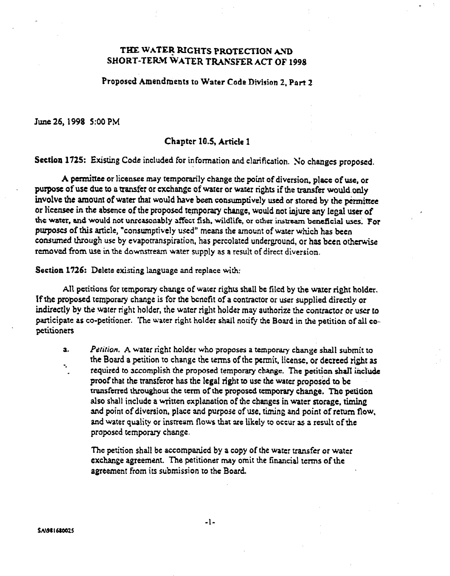# THE WATER RIGHTS PROTECTION AYD SHORT-TERM WATER TRANSFER ACT OF 1998

Propascd Amendments to Water Code Division 2, Part 2

June 26, 1998 5:00 PM

## Chaptct 10.5, Article 1

Section 1725: Existing Code included for information and clarification. No changes proposed.

A permittee or licensee may temporarily change the point of diversion, place of use, or purpose of use due to a transfer or exchange of water or water rights if the transfer would only involve the amount of water that would have been consumptively used or stored by the permittee or licensee in the absence of the proposed temporary change, would not injure any legal user of the water, and would not unreasonably affect fish, wildlife, or other instream beneficial uses. For purpose of this article, "consumptively used" means the amount of water which has been consumed through use by evapotranspiration, has percolated underground, or has been otherwise removed from use in the downstream water supply as a result of direcr diversion.

Section 1726: Delete existing language and replace with:

All petitions for temporary change of water rights shall be filed by the water right holder. If the proposed temporary change is for the bcncfit of a contractor or user supplied directly or indirectly by the water right holder, the water right holder may authorize the contractor or user to participate as co-petitioner. The water right holder shall notify the Board in the petition of all copetitioners

3. -. Petition. A water right holder who proposes a temporary change shall submit to the Board a petition to change the terms of rhe permit. license, or decreed right as required to accomplish the proposed temporary change. The petition shall include proof that the transferor has the legal right to use the water proposed to be transferred throughout the term of the proposed temporary change. The petition also shall include a written explanation of the changes in water storage, timing and point of diversion, place and purpose of use, timing and point of return flow, and water quality or insrream flows that are likely to occur as a result of the proposed temporary change.

The petition shall be accompanied by a copy of the water transfer or water exchange agreement. The petitioner may omit the financial terms of the agreement from its submission to the Board.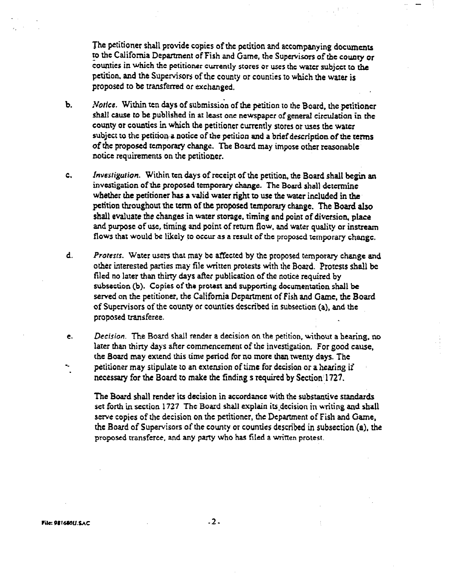The petitioner shall provide copies of the petition and accompanying documents to the California Department of Fish and Game, the Supervisors of the county or counties in which the petitioner currently stores or uses the water subject to the petition. and the Supervisors of the county or counties IO which the water is proposed to be transferred or exchanged.

- b. Notice. Within ten days of submission of the petition to the Board, the petitioner shall cause to be published in at least one newspaper of general circulation in the county or counties in which the petitioner currently stores or uses the water subject to the petition a notice of the petition and a brief description of the terms of the proposed tcmporaty change. The Baard may impose other reasonable notice requirements on the petitioner.
- $c_{\cdot}$ Investigution. Within ten days of receipt of the petition, the Board shall begin an investigation of the proposed temporary change. The Board shall determine whether the petitioner has a valid water right to use the water included in the petition throughout tic term of the proposed temporary change. The Board also shall evaluate the changes in water storage, timing and point of diversion, place and purpose of use, timing and point of return flow, and water quality or instream flows that would be likely to occur as a result of the proposed temporary change.
- d. Protesrs. Water users that may be affected by tic proposed temporary change and orher inrerested panics may file written protests with the Boatd. Protests shall be filed no later than thirry days after publication of the notice required by subsection (b). Copies of the protest and supporting documentation shall be served on the petitioner, the California Department of Fish and Game, the Board of Supervisors of the county or counrics dckibed in subsection (a), and the proposed transferee.
- e. -- Decision. The Board shall render a decision on the petition, without a hearing, no later than thirty days after commencement of the investigation. For good cause, the Board may extend this rime period for no more than twenty days. The petitioner may stipulate to an extension of time for decision or a hearing if necessary for the Board to make the finding s required by Section: 1727.

The Board shall render its decision in accordance with the substantive standards set forth in section 1727 The Board shall explain its decision in writing and shall serve copies of the decision on the petitioner, the Department of Fish and Game, the Board of Supervisors of the county or counties described in subsection (a), the proposed transferce, and any party who has filed a written protest.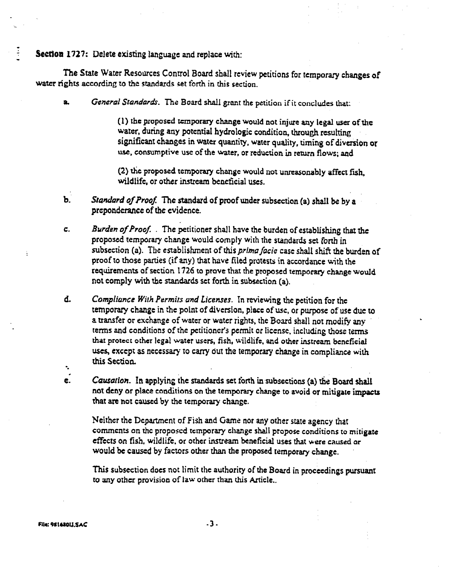Section 1727: Delete existing language and replace with:

The State Water Resources Control Board shall review petitions for temporary changes of water rights according to the standards set forth in this section.

General Standards. The Board shall grant the petition if it concludes that:

(1) the proposed temporary change would not injure any legal user of the water, during any potential hydrologic condition, through resulting significant changes in water quantity, water quality, timing of diversion or use, consumptive use of the water, or reduction in return flows; and

(2) the proposed temporary change would not unreasonably affect fsh, wildlife, or other instream beneficial uses.

- b. Standard of Proof. The standard of proof under subsection (a) shall be by a preponderance of the evidence.
- c. Burden of Proof. . The petitioner shall have the burden of establishing that the proposed temporary change would comply with the standards set forth in subsection (a). The establishment of this *prima facie* case shall shift the burden of proof to those parries (if any) that have filed protests in accordance with the requirements of section 1726 to prove that the proposed temporary change would not comply with the standards set forth in subsection (a).
- d. -. Compliance With Permits and Licenses. In reviewing the petition for the temporary change in the point of diversion, place of use, or purpose of use due to a transfer or exchange of water or water rights, the Board shall not modify any terms and conditions of the petitioner's permit or license, including those terms that protect other legal water users, fish, wildlife, and other instream beneficial uses, except as necessary to carry out the temporary change in compliance with this Section.
- $\epsilon$ . Causation. In applying the standards set forth in subsections (a) the Board shall not deny or place conditions on the temporary change to avoid or mitigate impacts that are not caused by the temporary change.

Neither the Department of Fish and Game nor any other state agency that comments on the proposed temporary change shall propose conditions to mitigate effects on fish, wildlife, or other instream beneficial uses that were caused or would be caused by factors other than the proposed temporary change.

This subsection does not limit the authority of the Board in proceedings pursuant to any other provision of law other than this Article..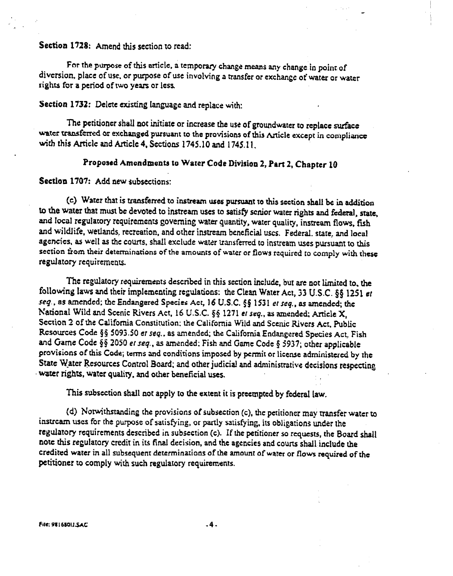## Section 1728: Amend this section to read:

For the purpose of this article, a temporary change means any change in point of diversion, place of use. or purpose of use involving a transfer or exchange ot' water or water rights for a period of two years or less.

#### Section 1732: Delete existing language and replace with:

The petitioner shall not initiate or increase the use of groundwater to replace surface water transferred or exchanged pursuant to the provisions of this Article except in compliance with this Article and Article 4, Sections 1745.10 and 1745.11.

# Proposed Amendments to Water Code Division 2, Part 2, Chapter 10

#### Section 1707: Add new subsections:

(c) Water that is transferred to instream uses pursuant to this section shall be in addition to the water that must be devoted to instream uses to satisfy senior water rights and federal, state, and local regulatory requirements governing water quantity, water quality, instream flows, fish and wildlife, wetlands, recreation, and other instream beneficial uses. Federal. state, and local agencies, as well as the courts, shall exclude water transferred to instream uses pursuant to this section from their determinations of the amounts of water or flows required to comply with these regularory requiremenu.

The regulatory requirements described in this section include, but are nor limited to, the following laws and their implementing regulations: the Clean Water Act, 33 U.S.C. §§ 1251 et seq., as amended; the Endangered Species Act, 16 U.S.C. §§ 1531 et seq., as amended; the National Wild and Scenic Rivers Act, 16 U.S.C. §§ 1271 et seq., as amended; Article X, Section 2 of the California Constitution; the California Wild and Scenic Rivers Act. Public Resources Code §§ 5093.50 et seq., as amended; the California Endangered Species Act, Fish and Game Code §§ 2050 et seq., as amended: Fish and Game Code § 5937; other applicable provisions of this Code; terms ad conditions imposed by permit or license administered by the State Water Resources Control Board; and other judicial and administrative decisions respecting . water rights, water quaky, and other beneficial uses.

This subsection shall not apply to the extent it is preempted by federal law.

(d) Notwithstanding the provisions of subsection (c), the petitioner may transfer water to instream uses for the purpose of satisfying, or partly satisfying, its obligations under the regulatory requirements described in subsection (c). If the petitioner so requests, the Board shall note this regulatory credit in its final decision, and the agencies and courts shall include the credited water in all subsequent determinations of the amount of water or flows required of the petitioner to comply with such regulatory requirements.